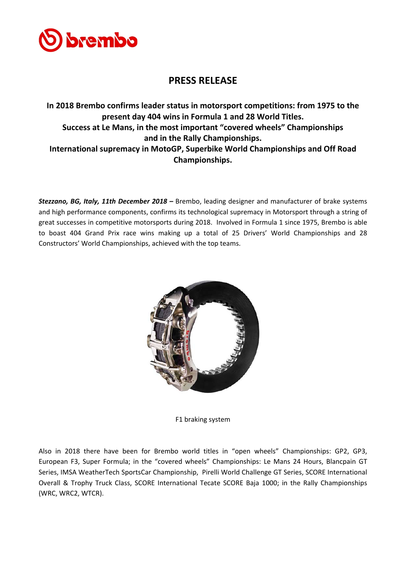

## **PRESS RELEASE**

**In 2018 Brembo confirms leader status in motorsport competitions: from 1975 to the present day 404 wins in Formula 1 and 28 World Titles. Success at Le Mans, in the most important "covered wheels" Championships and in the Rally Championships. International supremacy in MotoGP, Superbike World Championships and Off Road Championships.**

*Stezzano, BG, Italy, 11th December 2018 –* Brembo, leading designer and manufacturer of brake systems and high performance components, confirms its technological supremacy in Motorsport through a string of great successes in competitive motorsports during 2018. Involved in Formula 1 since 1975, Brembo is able to boast 404 Grand Prix race wins making up a total of 25 Drivers' World Championships and 28 Constructors' World Championships, achieved with the top teams.



F1 braking system

Also in 2018 there have been for Brembo world titles in "open wheels" Championships: GP2, GP3, European F3, Super Formula; in the "covered wheels" Championships: Le Mans 24 Hours, Blancpain GT Series, IMSA WeatherTech SportsCar Championship, Pirelli World Challenge GT Series, SCORE International Overall & Trophy Truck Class, SCORE International Tecate SCORE Baja 1000; in the Rally Championships (WRC, WRC2, WTCR).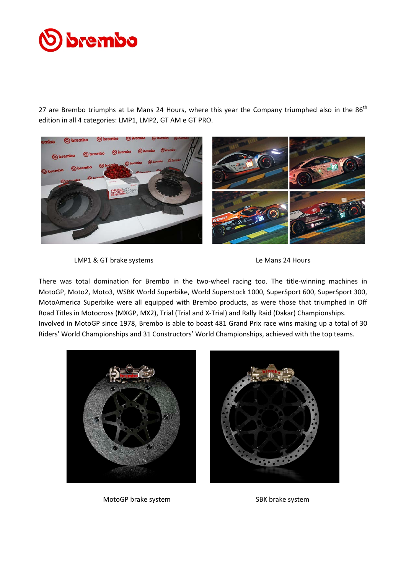# brembo

27 are Brembo triumphs at Le Mans 24 Hours, where this year the Company triumphed also in the 86<sup>th</sup> edition in all 4 categories: LMP1, LMP2, GT AM e GT PRO.



LMP1 & GT brake systems Le Mans 24 Hours



There was total domination for Brembo in the two-wheel racing too. The title-winning machines in MotoGP, Moto2, Moto3, WSBK World Superbike, World Superstock 1000, SuperSport 600, SuperSport 300, MotoAmerica Superbike were all equipped with Brembo products, as were those that triumphed in Off Road Titles in Motocross (MXGP, MX2), Trial (Trial and X-Trial) and Rally Raid (Dakar) Championships. Involved in MotoGP since 1978, Brembo is able to boast 481 Grand Prix race wins making up a total of 30 Riders' World Championships and 31 Constructors' World Championships, achieved with the top teams.





MotoGP brake system SBK brake system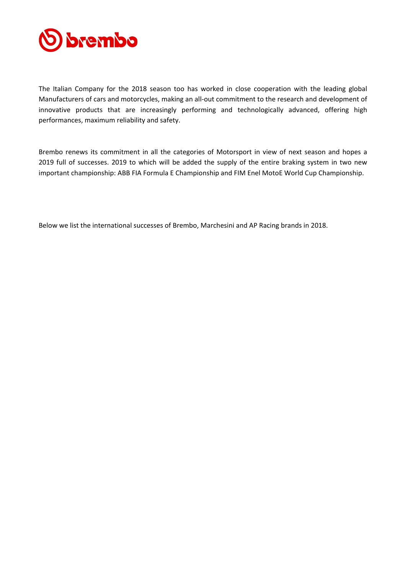

The Italian Company for the 2018 season too has worked in close cooperation with the leading global Manufacturers of cars and motorcycles, making an all-out commitment to the research and development of innovative products that are increasingly performing and technologically advanced, offering high performances, maximum reliability and safety.

Brembo renews its commitment in all the categories of Motorsport in view of next season and hopes a 2019 full of successes. 2019 to which will be added the supply of the entire braking system in two new important championship: ABB FIA Formula E Championship and FIM Enel MotoE World Cup Championship.

Below we list the international successes of Brembo, Marchesini and AP Racing brands in 2018.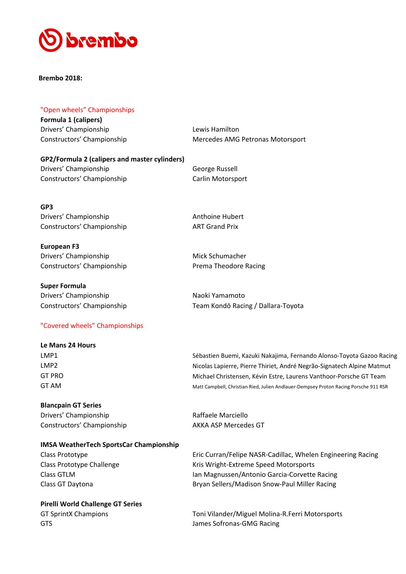

**Brembo 2018:**

#### "Open wheels" Championships

**Formula 1 (calipers)** Drivers' Championship Lewis Hamilton

Constructors' Championship Mercedes AMG Petronas Motorsport

**GP2/Formula 2 (calipers and master cylinders)** Drivers' Championship George Russell Constructors' Championship Carlin Motorsport

**GP3** Drivers' Championship **Anthoine Hubert** Anthoine Hubert Constructors' Championship **ART Grand Prix** 

**European F3**  Drivers' Championship Mick Schumacher Constructors' Championship **Prema Theodore Racing** 

**Super Formula** Drivers' Championship Naoki Yamamoto Constructors' Championship Team Kondō Racing / Dallara-Toyota

"Covered wheels" Championships

### **Le Mans 24 Hours** LMP1 Sébastien Buemi, Kazuki Nakajima, Fernando Alonso-Toyota Gazoo Racing LMP2 Nicolas Lapierre, Pierre Thiriet, André Negrão-Signatech Alpine Matmut GT PRO Michael Christensen, Kévin Estre, Laurens Vanthoor-Porsche GT Team GT AM GT AM Matt Campbell, Christian Ried, Julien Andlauer-Dempsey Proton Racing Porsche 911 RSR

**Blancpain GT Series** Drivers' Championship **Raffaele Marciello** Constructors' Championship **AKKA ASP Mercedes GT** 

#### **IMSA WeatherTech SportsCar Championship**

**Pirelli World Challenge GT Series** GTS GTS **GTS James Sofronas-GMG Racing** 

Class Prototype **Eric Curran/Felipe NASR-Cadillac, Whelen Engineering Racing** Class Prototype Class Prototype Challenge The Research Review Kris Wright-Extreme Speed Motorsports Class GTLM Ian Magnussen/Antonio Garcia-Corvette Racing Class GT Daytona Bryan Sellers/Madison Snow-Paul Miller Racing

GT SprintX Champions Toni Vilander/Miguel Molina-R.Ferri Motorsports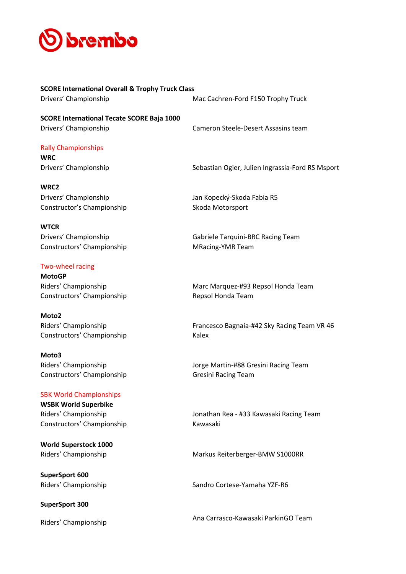

**SCORE International Overall & Trophy Truck Class** Drivers' Championship Mac Cachren-Ford F150 Trophy Truck

**SCORE International Tecate SCORE Baja 1000** Drivers' Championship Cameron Steele-Desert Assasins team

#### Rally Championships

**WRC**

Drivers' Championship Sebastian Ogier, Julien Ingrassia-Ford RS Msport

**WRC2** Drivers' Championship Jan Kopecký-Skoda Fabia R5 Constructor's Championship Skoda Motorsport

**WTCR** Constructors' Championship MRacing-YMR Team

#### Two-wheel racing

**MotoGP** Constructors' Championship Repsol Honda Team

**Moto2** Constructors' Championship Kalex

**Moto3** Constructors' Championship Gresini Racing Team

#### SBK World Championships

**WSBK World Superbike** Constructors' Championship Kawasaki

**World Superstock 1000**

**SuperSport 600**

#### **SuperSport 300**

Drivers' Championship Gabriele Tarquini-BRC Racing Team

Riders' Championship Marc Marquez-#93 Repsol Honda Team

Riders' Championship Francesco Bagnaia-#42 Sky Racing Team VR 46

Riders' Championship Jorge Martin-#88 Gresini Racing Team

Riders' Championship Jonathan Rea - #33 Kawasaki Racing Team

Riders' Championship **Markus Reiterberger-BMW S1000RR** 

Riders' Championship Sandro Cortese-Yamaha YZF-R6

Riders' Championship **Ana Carrasco-Kawasaki ParkinGO Team**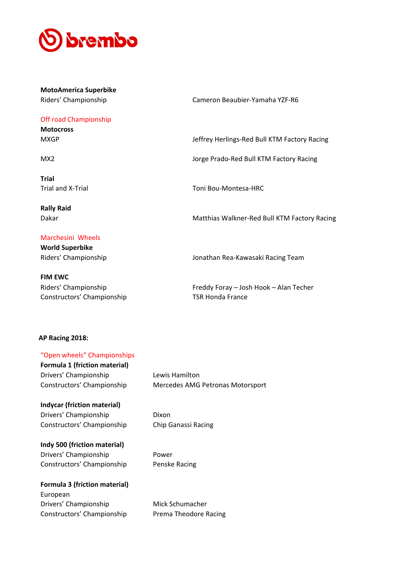

**MotoAmerica Superbike**

Off road Championship

**Motocross**

**Trial**

**Rally Raid**

## Marchesini Wheels

**World Superbike**

**FIM EWC** Constructors' Championship TSR Honda France

Riders' Championship Cameron Beaubier-Yamaha YZF-R6

MXGP Jeffrey Herlings-Red Bull KTM Factory Racing

MX2 Jorge Prado-Red Bull KTM Factory Racing

Trial and X-Trial Trial Trial Toni Bou-Montesa-HRC

Dakar **Matthias Walkner-Red Bull KTM Factory Racing** Matthias Walkner-Red Bull KTM Factory Racing

Riders' Championship Jonathan Rea-Kawasaki Racing Team

Riders' Championship Freddy Foray – Josh Hook – Alan Techer

#### **AP Racing 2018:**

| "Open wheels" Championships          |                                  |
|--------------------------------------|----------------------------------|
| <b>Formula 1 (friction material)</b> |                                  |
| Drivers' Championship                | Lewis Hamilton                   |
| Constructors' Championship           | Mercedes AMG Petronas Motorsport |
| <b>Indycar (friction material)</b>   |                                  |
| Drivers' Championship                | Dixon                            |
| Constructors' Championship           | Chip Ganassi Racing              |
| Indy 500 (friction material)         |                                  |
| Drivers' Championship                | Power                            |
| Constructors' Championship           | Penske Racing                    |
| <b>Formula 3 (friction material)</b> |                                  |
| European                             |                                  |
| Drivers' Championship                | Mick Schumacher                  |
| Constructors' Championship           | Prema Theodore Racing            |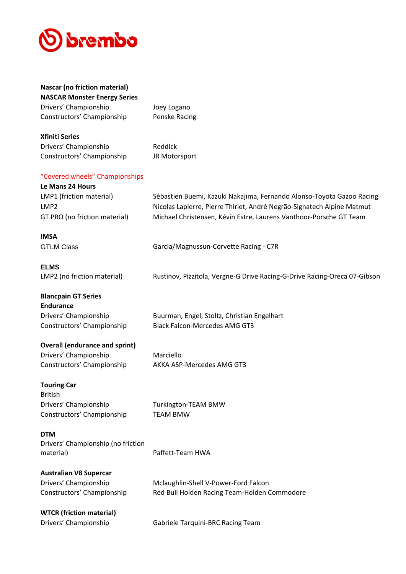

## **Nascar (no friction material) NASCAR Monster Energy Series** Drivers' Championship Joey Logano Constructors' Championship Penske Racing **Xfiniti Series** Drivers' Championship Reddick Constructors' Championship JR Motorsport "Covered wheels" Championships **Le Mans 24 Hours** LMP1 (friction material) Sébastien Buemi, Kazuki Nakajima, Fernando Alonso-Toyota Gazoo Racing LMP2 Nicolas Lapierre, Pierre Thiriet, André Negrão-Signatech Alpine Matmut GT PRO (no friction material) Michael Christensen, Kévin Estre, Laurens Vanthoor-Porsche GT Team **IMSA** GTLM Class Garcia/Magnussun-Corvette Racing - C7R **ELMS** LMP2 (no friction material) Rustinov, Pizzitola, Vergne-G Drive Racing-G-Drive Racing-Oreca 07-Gibson **Blancpain GT Series Endurance** Drivers' Championship Buurman, Engel, Stoltz, Christian Engelhart Constructors' Championship Black Falcon-Mercedes AMG GT3 **Overall (endurance and sprint)** Drivers' Championship Marciello Constructors' Championship AKKA ASP-Mercedes AMG GT3 **Touring Car** British Drivers' Championship Turkington-TEAM BMW Constructors' Championship TEAM BMW **DTM** Drivers' Championship (no friction material) and the contract of the Paffett-Team HWA **Australian V8 Supercar** Drivers' Championship Mclaughlin-Shell V-Power-Ford Falcon Constructors' Championship Red Bull Holden Racing Team-Holden Commodore **WTCR (friction material)** Drivers' Championship Gabriele Tarquini-BRC Racing Team